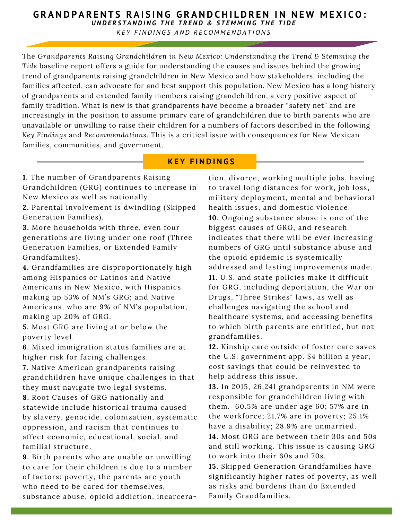#### UNDERSTANDING THE TREND & STEMMING THE TIDE **GRANDPARENTS RAISING GRANDCHILDREN IN NEW MEXICO:**

**KEY FINDINGS AND RECOMMENDATIONS** 

The *Grandparents Raising Grandchildren in New Mexico: Understanding the Trend & Stemming the Tide* baseline report offers a guide for understanding the causes and issues behind the growing trend of grandparents raising grandchildren in New Mexico and how stakeholders, including the families affected, can advocate for and best support this population. New Mexico has a long history of grandparents and extended family members raising grandchildren, a very positive aspect of family tradition. What is new is that grandparents have become a broader "safety net" and are increasingly in the position to assume primary care of grandchildren due to birth parents who are unavailable or unwilling to raise their children for a numbers of factors described in the following *Key Findings* and *Recommendations*. This is a critical issue with consequences for New Mexican families, communities, and government.

### **K E Y F I N D I N G S**

**1.** The number of Grandparents Raising Grandchildren (GRG) continues to increase in New Mexico as well as nationally.

**2.** Parental involvement is dwindling (Skipped Generation Families).

**3.** More households with three, even four generations are living under one roof (Three Generation Families, or Extended Family Grandfamilies).

**4.** Grandfamilies are disproportionately high among Hispanics or Latinos and Native Americans in New Mexico, with Hispanics making up 53% of NM's GRG; and Native Americans, who are 9% of NM's population, making up 20% of GRG.

**5.** Most GRG are living at or below the poverty level.

**6.** Mixed immigration status families are at higher risk for facing challenges.

**7.** Native American grandparents raising grandchildren have unique challenges in that they must navigate two legal systems.

**8.** Root Causes of GRG nationally and statewide include historical trauma caused by slavery, genocide, colonization, systematic oppression, and racism that continues to affect economic, educational, social, and familial structure.

**9.** Birth parents who are unable or unwilling to care for their children is due to a number of factors: poverty, the parents are youth who need to be cared for themselves, substance abuse, opioid addiction, incarceration, divorce, working multiple jobs, having to travel long distances for work, job loss, military deployment, mental and behavioral health issues, and domestic violence. **10.** Ongoing substance abuse is one of the biggest causes of GRG, and research indicates that there will be ever increasing numbers of GRG until substance abuse and the opioid epidemic is systemically addressed and lasting improvements made. **11.** U.S. and state policies make it difficult for GRG, including deportation, the War on Drugs, "Three Strikes" laws, as well as challenges navigating the school and healthcare systems, and accessing benefits to which birth parents are entitled, but not grandfamilies.

**12.** Kinship care outside of foster care saves the U.S. government app. \$4 billion a year, cost savings that could be reinvested to help address this issue.

**13.** In 2015, 26,241 grandparents in NM were responsible for grandchildren living with them. 60.5% are under age 60; 57% are in the workforce; 21.7% are in poverty; 25.1% have a disability; 28.9% are unmarried.

**14.** Most GRG are between their 30s and 50s and still working. This issue is causing GRG to work into their 60s and 70s.

**15.** Skipped Generation Grandfamilies have significantly higher rates of poverty, as well as risks and burdens than do Extended Family Grandfamilies.